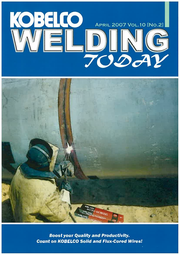



**Boost your Quality and Productivity. Count on KOBELCO Solid and Flux-Cored Wires!**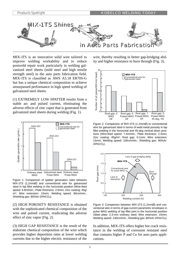

MIX-1TS is an innovative solid wire tailored to improve welding workability and to reduce postweld repair work particularly in welding galvanized steel sheets (mild steel and high tensile strength steel) in the auto parts fabrication field. MIX-1TS is classified as AWS A5.18 ER70S-G but has a unique chemical composition to achieve unsurpassed performance in high speed welding of galvanized steel sheets.

(1) EXTREMELY LOW SPATTER results from a stable arc and pulsed current, eliminating the adverse effects of zinc vapor that is generated from galvanized steel sheets during welding (Fig. 1).



Figure 1: Comparison of spatter generation rates between MIX-1TS (1.2mmØ) and conventional wire for galvanized steel in lap fillet welding in the horizontal position (Wire-feed speed: 6.8m/min.; Plate thickness: 2.6mm; Zinc coating: 45g/ m2; Wire extension: 15mm; Welding speed: 80cm/min.; Shielding gas: 80%Ar-20%CO<sub>2</sub>).

(2) HIGH POROSITY RESISTANCE is obtained with the sophisticated chemical composition of the wire and pulsed current, eradicating the adverse effect of zinc vapor (Fig. 2).

(3) HIGH GAP RESISTANCE is the result of the elaborate chemical composition of the wire which provides higher deposition rates at lower welding currents due to the higher electric resistance of the

wire, thereby resulting in better gap-bridging ability and higher resistance to burn through (Fig. 3).



Figure 2: Comparison of MIX-1TS (1.2mmØ) to conventional wire for galvanized steel in terms of weld metal porosity in lap fillet welding in the horizontal and 45-deg vertical down positions (Wire-feed speed: 7.4m/min.; Plate thickness: 2.3mm; Zinc coating: 45g/m2; Root gap: 0-1mm: Wire extension: 15mm; Welding speed: 100cm/min.; Shielding gas: 80%Ar-20%CO2).



Figure 3: Comparison between MIX-1TS (1.2mmØ) and conventional wire in terms of gap-current parametric envelopes in pulse MAG welding of lap fillet joint in the horizontal position (Steel plate: 2.3-mm ordinary steel; Wire extension: 15mm; Welding speed: 130cm/min.; Shielding gas: 80%Ar-20%CO<sub>2</sub>).

In addition, MIX-1TS offers higher hot crack resistance in the welding of corrosion resistant steel that contains higher P and Cu for auto parts applications.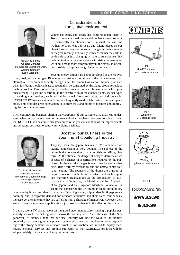

Masakazu Tojo General Manager International Operations Dept. Welding Company Kobe Steel, Ltd.

# Considerations for the global environment

Winter has gone, and spring has come to Japan. Here in Tokyo, it was abnormal that we did not have snow last winter; historically, the phenomenon is unusual; the last time we had no snow was 140 years ago. Many places on our planet have experienced unusual changes in their climates every year recently. I seriously wonder whether the earth is getting sick, or just changing its nature. As scientists link carbon dioxide in the atmosphere with rising temperatures, we should make more effort to prevent the emission of carbon dioxide to improve the global environment.

Several energy sources are being developed as alternatives to oil, coal, and natural gas. Bioenergy is considered to be one of the main sources of an alternative, environment-friendly energy, since the amount of carbon dioxide produced when it is burnt should (at least conceptually) be consumed by the plants grown to replace the biomass fuel. One biomass fuel production process is ethanol fermentation, which produces ethanol, a gasoline substitute. In the construction of the ethanol plants, special types of welding consumables, such as stainless steel flux-cored wires, are indispensable. KOBELCO DW-series stainless FCWs are frequently used in fabrication of ethanol plant tanks. This provides great satisfaction to us from the stand points of business and improving the global environment.

I will continue my business, sharing the viewpoints of our customers, so that I can understand what our customers want to improve and what problems they want to solve. I know that KOBELCO is a customer-oriented company, so you can count on us for improvements and solutions you need to better your welding business.



Toshiyuki Okuzumi General Manager International Operations Dept. Welding Company Kobe Steel, Ltd.

# Boosting our business in the Booming Shipbuilding Industry

They say that in Singapore this year a TV drama based on marine engineering is very popular. The subject of the drama is the construction of a large offshore drilling platform. At the climax, the danger of delayed delivery arises because of a change in specifications required by the purchaser. In the end, the danger is overcome by around-theclock rush work by everybody, and the drama comes to a happy ending. The sponsors of the drama are a group of major Singapore shipbuilding industries and such important maritime organizations as the Association of Singapore Marine Industries, the Maritime and Port Authority of Singapore, and the Singapore Maritime Foundation. It seems that sponsoring the TV drama is an all-out publicity

campaign by industries related to marine affairs. Right now, shipbuilders in Singapore are booming due to vigorous demand for offshore structures and their sales continuously increase. At the same time they are suffering from a shortage of manpower. However, they seem to have secured many applicants for job positions thanks to the effect of the drama.

In Japan, too, a TV drama about an integrated steel manufacturer starring a popular personality seems to be making waves across the country now. As in the case of the Singaporean TV drama, I hope that our steel industry will ride the wave of the drama's popularity and secure good manpower in the employment market. Furthermore, responding to the strong demand for offshore structure construction, we intend to deploy manpower, technical services and product strategies, so that KOBELCO products will be adopted widely. I hope you will support our efforts.







P3-7 Welding of LPG storage tanks



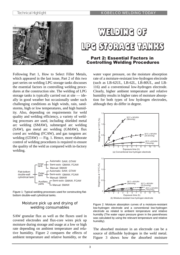



# Part 2: Essential Factors in Controlling Welding Procedures

Following Part 1, How to Select Filler Metals, which appeared in the last issue, Part 2 of this two part series on welding LPG storage tanks discusses the essential factors in controlling welding procedures at the construction site. The welding of LPG storage tanks is typically carried out at site — ideally in good weather but occasionally under such challenging conditions as high winds, rain, sandstorms, high or low temperatures, and high humidity. Also, depending on requirements for weld quality and welding efficiency, a variety of welding processes are used, including shielded metal arc welding (SMAW), submerged arc welding (SAW), gas metal arc welding (GMAW), flux cored arc welding (FCAW), and gas tungsten arc welding (GTAW) — Fig. 1. Hence, more elaborate control of welding procedures is required to ensure the quality of the weld as compared with in-factory welding.



Figure 1: Typical welding processes used for constructing flatbottom double-wall cylindrical tanks.

# Moisture pick up and drying of welding consumables

SAW granular flux as well as the fluxes used in covered electrodes and flux-core wires pick up moisture during storage and usage at a low or high rate depending on ambient temperature and relative humidity. Figure 2 compares the effects of ambient temperature and relative humidity, or the

water vapor pressure, on the moisture absorption rate of a moisture-resistant low-hydrogen electrode (such as LB-62UL, LB-62L, LB-80UL, and LB-116) and a conventional low-hydrogen electrode. Clearly, higher ambient temperature and relative humidity results in higher rates of moisture absorption for both types of low hydrogen electrodes, although they do differ in degree.



Figure 2: Moisture absorption curves of a moisture-resistant low-hydrogen electrode and a conventional low-hydrogen electrode as related to ambient temperature and relative humidity (The water vapor pressure given in the parentheses was calculated by using the relevant temperature and relative humidity).

The absorbed moisture in an electrode can be a source of diffusible hydrogen in the weld metal. Figure 3 shows how the absorbed moisture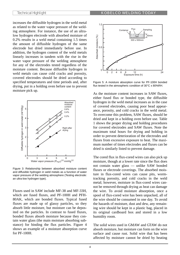increases the diffusible hydrogen in the weld metal as related to the water vapor pressure of the welding atmosphere. For instance, the use of an ultralow hydrogen electrode with absorbed moisture of 0.2% results in a weld metal containing 1.5 times the amount of diffusible hydrogen of the same electrode but dried immediately before use. In addition, the hydrogen content of the weld metals linearly increases in tandem with the rise in the water vapor pressure of the welding atmosphere for any of the electrodes tested regardless of the moisture content. Because diffusible hydrogen in weld metals can cause cold cracks and porosity, covered electrodes should be dried according to specified temperatures and time periods and, after drying, put in a holding oven before use to prevent moisture pick up.



Figure 3: Relationship between absorbed moisture content and diffusible hydrogen in weld metals as a function of water vapor pressure of the welding atmosphere (Testing electrode: an ultra-low hydrogen type).

Fluxes used in SAW include MF-38 and MF-33H, which are fused fluxes, and PF-100H and PFH-80AK, which are bonded fluxes. Typical fused fluxes are made up of glassy particles, so they absorb little moisture, but moisture can be deposited on the particles. In contrast to fused fluxes, bonded fluxes absorb moisture because they contain water glass (the main moisture absorbing substance) for binding the flux particles. Figure 4 shows an example of a moisture absorption curve for PF-100H.



Figure 5: A moisture absorption curve for PF-100H bonded flux tested in the atmospheric condition of 30°C x 80%RH.

As the moisture content increases in SAW fluxes, either fused flux or bonded type, the diffusible hydrogen in the weld metal increases as in the case of covered electrodes, causing poor bead appearance, porosity, and cold cracks in the weld metal. To overcome this problem, SAW fluxes, should be dried and kept in a holding oven before use. Table 1 shows the proper drying and holding procedures for covered electrodes and SAW fluxes. Note the maximum total hours for drying and holding in order to prevent deterioration of the electrodes and fluxes from excessive exposure to heat. The maximum number of times electrodes and fluxes can be dried is similarly listed to prevent damage.

The cored flux in flux-cored wires can also pick up moisture, though at a lower rate since the flux does not contain water glass — unlike SAW bonded fluxes or electrode coverings. The absorbed moisture in flux-cored wires can cause pits, wormtracking porosity, and cold cracks in the weld metal; however, moisture in flux-cored wires cannot be removed through drying as heat can damage the wire. To avoid moisture absorption, once a spool of flux-cored wire has been unpacked, all of the wire should be consumed in one day. To avoid the hazards of moisture, dust and dew, any remaining wire should be kept in a plastic bag, placed in its original cardboard box and stored in a low humidity room.

The solid wires used in GMAW and GTAW do not absorb moisture, but moisture can form on the wire surface and cause rust. Solid wire that has been affected by moisture cannot be dried by heating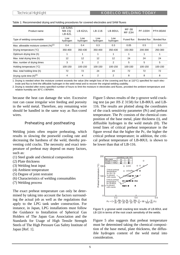| Product name                                 | <b>LB-52NS</b><br><b>NB-1SJ</b><br><b>LB-62L</b> | <b>LB-62UL</b>  | LB-116          | LB-80UL         | <b>MF-38</b><br><b>MF-33H</b> | <b>PF-100H</b> | PFH-80AK    |
|----------------------------------------------|--------------------------------------------------|-----------------|-----------------|-----------------|-------------------------------|----------------|-------------|
| Type of welding consumable                   | Low<br>hydrogen                                  | Low<br>hydrogen | Low<br>hydrogen | Low<br>hydrogen | Fused flux                    | Bonded flux    | Bonded flux |
| Max. allowable moisture content $(\%)^{(1)}$ | 0.4                                              | 0.4             | 0.3             | 0.3             | 0.05                          | 0.5            | 0.5         |
| Drying temperature (°C)                      | 350-400                                          | 350-430         | 350-400         | 350-430         | 150-350                       | 200-300        | 250-300     |
| Optimum drying time (h)                      |                                                  |                 |                 |                 |                               |                |             |
| Max. total drying time (h)                   | 12                                               | 12              | 12              | 12              | 24                            | 24             | 24          |
| Max. number of drying times                  | 3                                                | 3               | $\overline{2}$  | 2               | 5                             | 5              | 5           |
| Holding temperature (°C)                     | 100-150                                          | 100-150         | 100-150         | 100-150         | 100-150                       | 100-150        | 100-150     |
| Max. total holding time (h)                  | 72                                               | 72              | 24              | 24              | 72                            | 72             | 72          |
| Drying cycle time $(h)^{(2)}$                | 4                                                | 4               | 2               | 2               | 8                             | 8              | 8           |

Table 1: Recommended drying and holding procedures for covered electrodes and SAW fluxes

1. Drying is needed when the moisture content exceeds the value (the weight loss of the covering and flux at 110°C) specified for each electrode and flux to limit the diffusible hydrogen in the weld metal and to recover the original welding usability.

2. Drying is needed after every specified number of hours to limit the moisture in electrodes and fluxes, provided the ambient temperature and relative humidity are 30°C x 80%RH.

because the heat can damage the wire. Excessive rust can cause irregular wire feeding and porosity in the weld metal. Therefore, any remaining wire should be handled in the same way as flux-cored wires.

# Preheating and postheating

Welding joints often require preheating, which results in slowing the postweld cooling rate and decreasing the hardness of the weld, thereby preventing cold cracks. The necessity and exact temperature of preheat may depend on many factors, such as:

- (1) Steel grade and chemical composition
- (2) Plate thickness
- (3) Welding heat input
- (4) Ambient temperature
- (5) Degree of joint restraint
- (6) Characteristics of welding consumables
- (7) Welding process

The exact preheat temperature can only be determined by taking into account the factors surrounding the actual job as well as the regulations that apply to the LPG tank under construction. For instance, in Japan, LPG installations must follow the Guidance to Installation of Spherical Gas Holders of The Japan Gas Association and the Standards for Usage of High Tensile Strength Steels of The High Pressure Gas Safety Institute of Japan [Ref. 1].

Figure 5 shows results of the y-groove weld cracking test (as per JIS Z 3158) for LB-80UL and LB-116. The results are plotted along the coordinates of the crack sensitivity parameter (Pc) and preheat temperature. The Pc consists of the chemical composition of the base metal, plate thickness (t), and diffusible hydrogen in the weld metals (H). The trend lines of critical preheat temperature in the figure reveal that the higher the Pc, the higher the critical preheat temperature; in addition, the critical preheat temperature of LB-80UL is shown to be lower than that of LB-116.



Figure 5: y-groove weld cracking test results of LB-80UL and LB-116 in terms of the root crack sensitivity of the welds.

Figure 5 also suggests that preheat temperature must be determined taking the chemical composition of the base metal, plate thickness, the diffusible hydrogen content of the weld metal into consideration.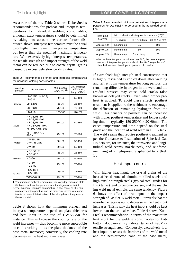As a rule of thumb, Table 2 shows Kobe Steel's recommendations for preheat and interpass temperatures for individual welding consumables, although exact temperatures should be determined by taking into account the various factors discussed above. Interpass temperature must be equal to or higher than the minimum preheat temperature but lower than the specified maximum temperature. With excessively high interpass temperatures, the tensile strength and impact strength of the weld metal can be reduced due to coarse crystal grains caused by excessively slow cooling rates.

Table 2: Recommended preheat and interpass temperatures for individual welding consumables

| Welding<br>process | Product name                                                                                                      | Min. preheat<br>temp. $(^{\circ}C)^{(1)}$ | Min. and max.<br>interpass<br>temp. $(^{\circ}C)^{(2)}$ |
|--------------------|-------------------------------------------------------------------------------------------------------------------|-------------------------------------------|---------------------------------------------------------|
|                    | <b>LB-52NS, NB-1SJ</b><br><b>LB-62L</b>                                                                           | 50-100                                    | 50-150                                                  |
| <b>SMAW</b>        | <b>LB-62UL</b>                                                                                                    | $25 - 75$                                 | 25-150                                                  |
|                    | <b>LB-80UL</b>                                                                                                    | 75-150                                    | 75-200                                                  |
|                    | <b>LB-116</b>                                                                                                     | 120-180                                   | 120-200                                                 |
| SAW                | <b>MF-38/US-36</b><br><b>MF-38/US-49A</b><br><b>MF-38/US-40</b><br><b>MF-33H/US-49A</b><br><b>PF-100H/US-36LT</b> | 50-100                                    | 50-150                                                  |
|                    | PFH-80AK/US-<br><b>80BN</b>                                                                                       | 75-150                                    | 75-200                                                  |
| <b>FCAW</b>        | <b>DW-55LSR</b><br><b>DWA-55LSR</b>                                                                               | 50-100                                    | 50-150                                                  |
|                    | <b>DW-60</b>                                                                                                      | 50-150                                    | 50-150                                                  |
|                    | MGS-50LT<br><b>MGS-63B</b>                                                                                        | $25 - 75$                                 | 25-150                                                  |
| <b>GMAW</b>        | <b>MG-60</b>                                                                                                      | 50-100                                    | 50-150                                                  |
|                    | <b>MG-80</b><br><b>MGS-80</b>                                                                                     | 75-150                                    | 75-200                                                  |
| <b>GTAW</b>        | <b>TGS-1MT</b><br><b>TGS-60A</b>                                                                                  | $25 - 75$                                 | 25-150                                                  |
|                    | <b>TGS-80AM</b>                                                                                                   | 75-150                                    | 75-200                                                  |

1. The minimum preheat temperature can vary depending on plate thickness, ambient temperature, and the degree of restraint.

2. The minimum interpass temperature is the same as the minimum preheat temperature and the maximum interpass temperature is to prevent deterioration of the strength and toughness of the weld metal.

Table 3 shows how the minimum preheat and interpass temperature depend on plate thickness and heat input in the use of DW-55LSR for instance. This is because the cooling rate of the weld increases — thus becoming more susceptible to cold cracking — as the plate thickness of the base metal increases; conversely, the cooling rate decreases as the heat input increases.

| tion       | peratures for DW-55LSR to be used in the as-welded condi-    |
|------------|--------------------------------------------------------------|
| Heat innut | Min. preheat and interpass temperature $({}^{\circ}C)^{(1)}$ |

Table 3: Recommended minimum preheat and interpass tem-

| Heat input             |            | Min. preheat and interpass temperature $(^{\circ}C)^{(1)}$ |                        |  |  |
|------------------------|------------|------------------------------------------------------------|------------------------|--|--|
| (kJ/mm)<br>$t < 25$ mm |            | $25 \leq t < 38$ mm                                        | $38 \leq t \leq 50$ mm |  |  |
| Approx. 1.0            | Room temp. | 75                                                         | 100                    |  |  |
| Approx. 1.5            | Room temp. | 50                                                         | 100                    |  |  |
| Approx. 2.3            | Room temp. | Room temp.                                                 | 75                     |  |  |

1. When ambient temperature is lower than 5°C, the minimum preheat and interpass temperature should be 40°C regardless of plate thickness and heat input to prevent cold cracks.

If extra-thick high-strength steel construction that is highly restrained is cooled down after welding and left at room temperature for long periods, the remaining diffusible hydrogen in the weld and the residual stresses may cause cold cracks (also known as delayed cracks), even when proper preheat is applied. To avoid these effects, postheat treatment is applied to the weldment to encourage the diffusion of remaining hydrogen from the weld. This benefits of postheat can be increased with higher postheat temperature and longer soaking time — typically, 150-250°C x 20-60min. The exact temperature and time depend on the steel grade and the location of weld seam in a LPG tank. The weld seams that require postheat treatment as per the Guidance to Installation of Spherical Gas Holders are, for instance, the transverse and longitudinal weld seams, nozzle neck, and reinforcement ring of a high-pressure spherical tank [Ref. 1].

#### Heat input control

With higher heat input, the crystal grains of the heat-affected zone of aluminum-killed steels and high tensile strength steels (typical steel grades for LPG tanks) tend to become coarser, and the matching weld metal exhibits the same tendency. Figure 6 shows the effect of heat input on the impact strength of LB-62UL weld metal. It reveals that the absorbed energy is apt to decrease as the heat input increases. This is why the heat input should be kept lower than the critical value. Table 4 shows Kobe Steel's recommendation in terms of the maximum heat input for the welding consumables for flatbottom double-wall cylindrical tanks of 490MPa tensile strength steel. Conversely, excessively low heat input increases the hardness of the weld metal and the heat-affected zone of the base metal,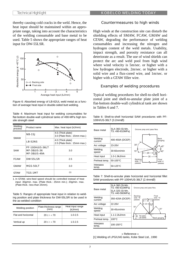thereby causing cold cracks in the weld. Hence, the heat input should be maintained within an appropriate range, taking into account the characteristics of the welding consumable and base metal to be used. Table 5 shows the appropriate ranges of heat input for DW-55LSR.



Figure 6: Absorbed energy of LB-62UL weld metal as a function of average heat input in double-sided butt welding.

| <sub></sub>                   |                                                                     |                                                    |  |  |
|-------------------------------|---------------------------------------------------------------------|----------------------------------------------------|--|--|
| Welding<br>process            | Product name                                                        | Max. heat input (kJ/mm)                            |  |  |
|                               | <b>NB-1SJ</b>                                                       | 4.5 (Thick plate)<br>3.0 (Plate thick.: 15mm max.) |  |  |
| <b>SMAW</b><br><b>LB-52NS</b> |                                                                     | 4.0 (Thick plate)<br>2.5 (Plate thick.: 15mm max.) |  |  |
| <b>SAW</b>                    | <b>PF-100H/US-36LT</b><br><b>MF-38/US-36</b><br><b>MF-38/US-49A</b> | 3.0                                                |  |  |
| <b>FCAW</b>                   | <b>DW-55LSR</b>                                                     | 2.5                                                |  |  |
| <b>GMAW</b>                   | <b>MGS-50LT</b>                                                     | 3.0                                                |  |  |
| <b>GTAW</b>                   | <b>TGS-1MT</b>                                                      | (1)                                                |  |  |

Table 4: Maximum heat input for welding consumables for flat-bottom double-wall cylindrical tanks of 490-MPa high tensile strength steel

1. In GTAW, wire-feed speed should be controlled instead of heat input: 30g/min. max. (Plate thick.: 25mm min.); 20g/min. max. (Plate thick.: less than 25mm).

Table 5: Ranges of appropriate heat input in relation to welding position and plate thickness for DW-55LSR to be used in the as-welded condition

| Welding position    | Plate thickness range<br>(mm) | Heat input range<br>(kJ/mm) |
|---------------------|-------------------------------|-----------------------------|
| Flat and horizontal | $20 \le t < 70$               | $1.0 - 2.5$                 |
| Vertical up         | $20 \le t < 70$               | $1.5 - 2.5$                 |

### Countermeasures to high winds

High winds at the construction site can disturb the shielding effects of SMAW, FCAW, GMAW and GTAW, degrading the performance of welding consumables and increasing the nitrogen and hydrogen content of the weld metals. Usability, impact strength, and porosity resistance can all deteriorate as a result. The use of wind shields can protect the arc and weld pool from high wind where wind velocity is 5m/sec. or higher with a low hydrogen electrode, 2m/sec. or higher with a solid wire and a flux-cored wire, and 1m/sec. or higher with a GTAW filler wire.

### Examples of welding procedures

Typical welding procedures for shell-to-shell horizontal joint and shell-to-annular plate joint of a flat-bottom double-wall cylindrical tank are shown in Tables 6 and 7.

| Base metal         | SLA 360 (Si-Mn,<br>TS: 490-610MPa) | Groove prep and pass Nos.                      |
|--------------------|------------------------------------|------------------------------------------------|
|                    |                                    |                                                |
| Welding<br>current | 400-450A (DCEP)                    | Back<br>gouging                                |
| Arc voltage        | $23 - 26V$                         | $30^\circ$<br>$45^{\circ}$                     |
| Welding<br>speed   | 30-60cm/min                        | $15^\circ$<br>$45^{\circ}$<br>26               |
| Heat input         | 1.0-1.9kJ/mm                       | 35                                             |
| Preheat temp.      | 50-100°C                           | <b>Backing</b><br>Final<br>side: 11<br>side: 4 |
| Interpass<br>temp. | $50-125$ °C                        | passes<br>passes                               |

Table 6: Shell-to-shell horizontal SAW procedures with PF-100H/US-36LT (3.2mmØ)

Table 7: Shell-to-annular plate horizontal and horizontal fillet SAW procedures with PF-100H/US-36LT (2.4mmØ)

| SLA 360 (Si-Mn,<br>TS: 490-610MPa)<br>Base metal<br>SLA 325 (Si-Mn,<br>TS: 440-560MPa) |                   | Groove prep and pass Nos.                                          |  |  |
|----------------------------------------------------------------------------------------|-------------------|--------------------------------------------------------------------|--|--|
| Welding<br>current                                                                     | 350-420A (DCEP)   | Final<br>Backing<br>side: 16<br>side: 10<br>passes<br>passes<br>35 |  |  |
| Arc voltage                                                                            | 22-26V            | $-23-$<br>10                                                       |  |  |
| Welding<br>speed                                                                       | 30-45cm/min       | $50^\circ$<br>$50^{\circ}$                                         |  |  |
| Heat input                                                                             | $1.1 - 2.2$ kJ/mm | 1st pass:<br>25                                                    |  |  |
| Preheat temp.                                                                          | $100^{\circ}$ C   | LB-52NS<br>Back gouging                                            |  |  |
| Interpass<br>temp.                                                                     | 100-150°C         |                                                                    |  |  |

» Reference « [1] Welding of LPG/LNG tanks, Kobe Steel Ltd., 1990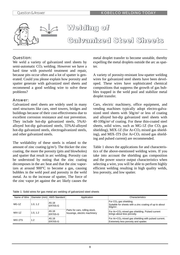

Welding of Galvanized Steel Sheets

# Question:

We weld a variety of galvanized steel sheets by semi-automatic  $CO<sub>2</sub>$  welding. However we have a hard time with postweld treatment and repair, because pits occur often and a lot of spatter is generated. Could you please explain how porosity and spatter generate with galvanized steel sheets and recommend a good welding wire to solve these problems?

## Answer:

Galvanized steel sheets are widely used in many steel structures like cars, steel towers, bridges and buildings because of their cost-effectiveness due to excellent corrosion resistance and rust prevention. They include hot-dip galvanized steels, 5%Alalloyed hot-dip galvanized steels, 55%Al-alloyed hot-dip galvanized steels, electrogalvanized steels, and other galvanized steels.

The weldability of these steels is related to the amount of zinc coating  $(g/m^2)$ . The thicker the zinc coating, the more the porosity (pits and blowholes) and spatter that result in arc welding. Porosity can be understood by noting that the zinc coating decomposes in the arc heat and that the zinc vaporizes at around 900°C to become a gas, causing bubbles in the weld pool and porosity in the weld metal. As to the increase of spatter, The force of the zinc vapor jet against the arc likely causes the

metal droplet transfer to become unstable, thereby expelling the metal droplets outside the arc as spatter.

A variety of porosity-resistant low-spatter welding wires for galvanized steel sheets have been developed. These wires have sophisticated chemical compositions that suppress the growth of gas bubbles trapped in the weld pool and stabilize metal droplet transfer.

Cars, electric machinery, office equipment, and vending machines typically adopt electro-galvanized steel sheets with 50g/m2 or less of coating and alloyed hot-dip galvanized steel sheets with 40-100g/m2 of coating. For these thin-coated steel sheets, solid wires, such as MG-1Z (for  $CO<sub>2</sub>$  gas shielding), MIX-1Z (for  $Ar-CO<sub>2</sub>$  mixed gas shielding), and MIX-1TS (for  $Ar-CO<sub>2</sub>$  mixed gas shielding and pulsed current) are recommended.

Table 1 shows the applications for and characteristics of the above-mentioned welding wires. If you take into account the shielding gas composition and the power source output characteristics when selecting a wire, you will be able to perform highly efficient welding resulting in high quality welds, less porosity, and low spatter.

| Table 1: Solid wires for gas metal arc welding of galvanized steel sheets |  |  |  |  |
|---------------------------------------------------------------------------|--|--|--|--|
|                                                                           |  |  |  |  |
|                                                                           |  |  |  |  |

| Name of Wire |         | Diameter (mm)   AWS Standard | Application                                                    | Characteristics                                                                                                      |
|--------------|---------|------------------------------|----------------------------------------------------------------|----------------------------------------------------------------------------------------------------------------------|
| $MG-1Z$      | 1.0.1.2 | A5.18<br>ER70S-G             | Parts for cars, rolling stock,<br>housings, electric machinery | For CO <sub>2</sub> gas shielding.<br>Suitable for sheets with a zinc coating of up to about<br>60g/m <sup>2</sup> . |
| $MIX-1Z$     | 1.0.1.2 | A5.18<br>ER70S-G             |                                                                | For Ar+CO <sub>2</sub> mixed gas shielding. Pulsed current<br>brings about less porosity.                            |
| MIX-1TS      | 1.2     | A5.18<br>ER70S-G             |                                                                | For Ar+CO <sub>2</sub> mixed gas shielding with pulsed current.<br>Extremely less porosity and spatter.              |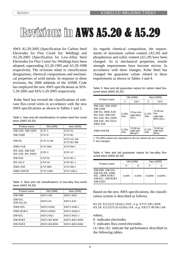# Revisions in AWS A5.20 & A5.29

AWS A5.20-2005 (Specification for Carbon Steel Electrodes for Flux Cored Arc Welding) and A5.29-2005 (Specification for Low-Alloy Steel Electrodes for Flux Cored Arc Welding) have been adopted, superseding A5.20-1995 and A5.29-1998 respectively. The revisions relate to classification designations, chemical compositions and mechanical properties of weld metals. In response to these revisions, the 2006 addenda of the ASME Code has employed the new AWS specifications as SFA-5.20-2005 and SFA-5.29-2005 respectively.

 Kobe Steel has revised the classifications of relevant flux-cored wires in accordance with the new AWS specifications as shown in Tables 1 and 2.

| Table 1: New and old classifications of carbon steel flux-cored |  |
|-----------------------------------------------------------------|--|
| wires (AWS A5.20)                                               |  |

| Product name                      | Old (1995) | New (2005)                 |
|-----------------------------------|------------|----------------------------|
| DW-100, DW-100V                   | E71T-1     | E71T-1C                    |
| <b>DW-100E</b>                    | E71T-9     | E71T-9C                    |
| <b>DW-50</b>                      | E71T-1/-1M | E71T-1C/-1M<br>E71T-9C/-9M |
| <b>DWA-51B</b>                    | E71T-5MJ   | E71T-5M-J                  |
| MX-200, DW-200<br>MX-100, MX-200H | E70T-1     | E70T-1C                    |
| <b>DW-55E</b>                     | E71T-9J    | E71T-9C-J                  |
| <b>MX-55LF</b>                    | E70T-9J    | E70T-9C-J                  |
| <b>DWA-55E</b>                    | E71T-9MJ   | E71T-9M-J                  |
| <b>DWA-55ESR</b>                  | E71T-12MJ  | E71T-12M-J                 |

Table 2: New and old classifications of low-alloy flux-cored wires (AWS A5.29)

| Product name                     | Old (1998)    | New (2005)     |
|----------------------------------|---------------|----------------|
| <b>DW-588</b>                    | E81T1-W2      | E81T1-W2C      |
| <b>DW-55L</b><br><b>DW-55LSR</b> | E81T1-K2      | E81T1-K2C      |
| <b>DWA-65L</b>                   | E91T1-K2MJ    | E91T1-K2M-J    |
| <b>DWA-81Ni1</b>                 | E81T1-Ni1MJ   | E81T1-Ni1M-J   |
| <b>DW-62L</b>                    | E91T1-Ni2J    | E91T1-Ni2C-J   |
| <b>DW-81B2</b>                   | E81T1-B2/-B2M | E81T1-B2C/-B2M |
| <b>DW-91B3</b>                   | E91T1-B3/-B3M | E91T1-B3C/-B3M |

As regards chemical composition, the requirements of maximum carbon content (A5.20) and phosphorous and sulfur content (A5.29) have been changed. As to mechanical properties, tensile strength requirements have become stricter. In accordance with these changes, Kobe Steel has changed the guarantee values related to these requirements as shown in Tables 3 and 4.

| Table 3: New and old guarantee values for carbon steel flux- |  |  |  |
|--------------------------------------------------------------|--|--|--|
| cored wires (AWS A5.20)                                      |  |  |  |

| Product name                                                                                                                                |               | Old (1995)                       | New (2005)    |                                                 |  |
|---------------------------------------------------------------------------------------------------------------------------------------------|---------------|----------------------------------|---------------|-------------------------------------------------|--|
|                                                                                                                                             | C             | TS(1)                            | C             | TS(1)                                           |  |
| DW-100, DW-100V<br><b>DW-100E</b><br><b>DW-50, DWA-51B</b><br>MX-200, DW-200<br>MX-100, MX-200H<br><b>DW-55E, MX-55LF</b><br><b>DWA-55E</b> | 0.18%<br>max. | 70 ksi min.<br>(480 MPa<br>min.) | 0.12%<br>max. | 70-95 ksi<br>min.<br>$(480 - 660)$<br>MPa min.) |  |
| <b>DWA-55ESR</b>                                                                                                                            | 0.15%<br>max. | 70-90 ksi<br>(480-620<br>MPa(2)  | 0.12%<br>max. | 70-90 ksi<br>(480-620<br>MPa)                   |  |

1. The MPa values are equivalent to the ksi values but are rounded. 2. Not changed.

Table 4: New and old guarantee values for low-alloy fluxcored wires (AWS A5.29)

| Product name                                                                            |       | Old (1998) | New (2005) |        |  |
|-----------------------------------------------------------------------------------------|-------|------------|------------|--------|--|
|                                                                                         | P     | S          | S<br>P     |        |  |
| DW-588, DW-55L<br>DW-55LSR, DWA-<br>65L, DWA-81Ni1<br>DW-62L, DW-81B2<br><b>DW-91B3</b> | 0.03% | 0.03%      | 0.030%     | 0.030% |  |

Based on the new AWS specifications, the classification system is described as follows.

#### A5.20: E(1)(2)T-(3)(4)-JXHX, e.g. E71T-1M-JDH8 A5.29: E(1)(2)T(3)-(5)(4)-JHX, e.g. E81T1-Ni1M-JH8

where,

E: indicates electrodes.

T: indicates flux-cored electrodes.

(1) thru (5): indicate the performance described in the following tables.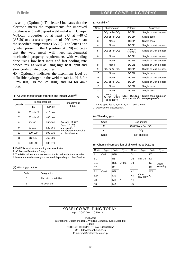JX and J (Optional): The letter J indicates that the electrode meets the requirements for improved toughness and will deposit weld metal with Charpy V-Notch properties of at least 27J at –40°C  $(A5.20)$  or at a test temperature of 10 $\degree$ C lower than the specified temperature (A5.29). The letter D or Q when present in the X position (A5.20) indicates that the weld metal will meet supplemental mechanical property requirements with welding done using low heat input and fast cooling rate procedures, as well as using high heat input and slow cooling rate procedures.

HX (Optional): indicates the maximum level of diffusible hydrogen in the weld metal; i.e. H16 for 16ml/100g, H8 for 8ml/100g, and H4 for 4ml/ 100g.

(1) All-weld metal tensile strength and impact value(1)

| Code <sup>(2)</sup> |                      | Tensile strength | Impact value                               |  |
|---------------------|----------------------|------------------|--------------------------------------------|--|
|                     | MPa(3)<br>ksi        |                  | ft-Ib $(J)$                                |  |
| 6                   | $60 \text{ min} (4)$ | 410 min.         |                                            |  |
| 7                   | $70 \text{ min} (4)$ | 480 min.         |                                            |  |
| 8                   | 80-100               | 550-690          | Average: 20 (27)<br>Each: 15 (20)          |  |
| 9                   | 90-110               | 620-760          | at a specific                              |  |
| 10                  | 100-120              | 690-830          | temperature depending<br>on classification |  |
| 11                  | 110-120              | 760-900          |                                            |  |
| 12                  | 120-140              | 830-970          |                                            |  |

1. PWHT is required depending on classification.

2. A5.20 specifies 6 and 7 only.

3. The MPa values are equivalent to the ksi values but are rounded. 4. Maximum tensile strength is required depending on classification.

(2) Welding position

| Code | Designation             |
|------|-------------------------|
|      | Flat, Horizontal fillet |
|      | All positions           |

(3) Usability(1)

| Code | Shielding gas                                                  | Polarity                              | Application                                            |
|------|----------------------------------------------------------------|---------------------------------------|--------------------------------------------------------|
| 1    | $CO2$ or Ar+CO <sub>2</sub>                                    | <b>DCEP</b>                           | Single or Multiple pass                                |
| 2    | CO <sub>2</sub> or Ar+CO <sub>2</sub>                          | <b>DCEP</b>                           | Single pass                                            |
| 3    | None                                                           | <b>DCEP</b>                           | Single pass                                            |
| 4    | None                                                           | <b>DCEP</b>                           | Single or Multiple pass                                |
| 5    | $CO2$ or Ar+CO <sub>2</sub>                                    | DCEP or<br>DCEN <sup>(2)</sup>        | Single or Multiple pass                                |
| 6    | None                                                           | <b>DCEP</b>                           | Single or Multiple pass                                |
| 7    | None                                                           | DCEN                                  | Single or Multiple pass                                |
| 8    | None                                                           | DCEN                                  | Single or Multiple pass                                |
| 9    | $CO2$ or Ar+CO <sub>2</sub>                                    | <b>DCEP</b>                           | Single or Multiple pass                                |
| 10   | None                                                           | DCEN                                  | Single pass                                            |
| 11   | None                                                           | DCEN                                  | Single or Multiple pass                                |
| 12   | $CO2$ or Ar+CO <sub>2</sub>                                    | <b>DCEP</b>                           | Single or Multiple pass                                |
| 13   | <b>None</b>                                                    | DCEN                                  | Single pass                                            |
| 14   | None                                                           | DCEN                                  | Single pass                                            |
| G    | None, $CO2$ ,<br>$Ar+CO2$ , or Not<br>specified <sup>(2)</sup> | DCEP, DCEN, or<br>Not specified $(2)$ | Single pass, Single or<br>Multiple pass <sup>(2)</sup> |

1. A5.29 specifies 1, 4, 5, 6, 7, 8, 11, and G only.

2. Depends on classification.

(4) Shielding gas

| Code | Designation                     |
|------|---------------------------------|
| м    | 75-80%Ar / Bal. CO <sub>2</sub> |
|      | CO <sub>2</sub>                 |
| None | Self-shielded                   |

(5) Chemical composition of all-weld metal (A5.29)

| Code             | <b>Type</b> | Code             | <b>Type</b> | Code           | <b>Type</b>        | Code           | Type      |
|------------------|-------------|------------------|-------------|----------------|--------------------|----------------|-----------|
| A <sub>1</sub>   | C-Mo        | B <sub>3</sub> H |             | D <sub>1</sub> |                    | K <sub>6</sub> |           |
| <b>B1</b>        |             | B <sub>6</sub>   |             | D <sub>2</sub> | Mn-Mo              | K7             |           |
| B <sub>1</sub> L |             | B <sub>6</sub> L | Cr-Mo       | D <sub>3</sub> |                    | K <sub>8</sub> | Other     |
| <b>B2</b>        |             | B <sub>8</sub>   |             | K <sub>1</sub> |                    | K <sub>9</sub> | low-alloy |
| B <sub>2</sub> L | Cr-Mo       | B8L              |             | K <sub>2</sub> | Other<br>low-alloy | W <sub>2</sub> |           |
| B <sub>2</sub> H |             | Ni1              |             | K <sub>3</sub> |                    | G              |           |
| B <sub>3</sub>   |             | Ni <sub>2</sub>  | Ni          | K4             |                    |                |           |
| B <sub>3</sub> L |             | Ni3              |             | K <sub>5</sub> |                    |                |           |

### KOBELCO WELDING TODAY April 2007 Vol. 10 No. 2

Publisher: International Operations Dept., Welding Company, Kobe Steel, Ltd. Editor: KOBELCO WELDING TODAY Editorial Staff URL: http/www.kobelco.co.jp E-mail: iod@melts.kobelco.co.jp